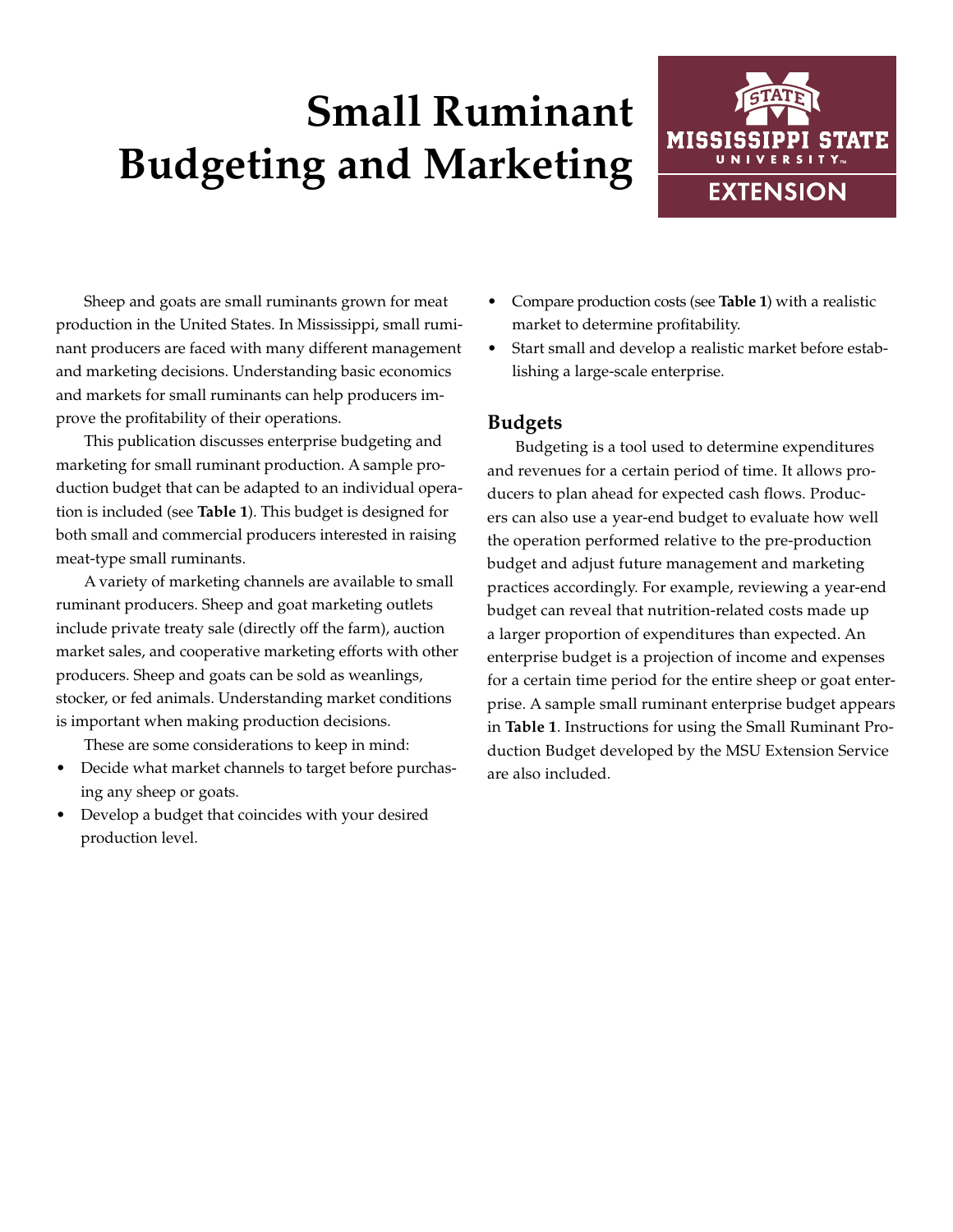# **Small Ruminant Budgeting and Marketing**



Sheep and goats are small ruminants grown for meat production in the United States. In Mississippi, small ruminant producers are faced with many different management and marketing decisions. Understanding basic economics and markets for small ruminants can help producers improve the profitability of their operations.

This publication discusses enterprise budgeting and marketing for small ruminant production. A sample production budget that can be adapted to an individual operation is included (see **Table 1**). This budget is designed for both small and commercial producers interested in raising meat-type small ruminants.

A variety of marketing channels are available to small ruminant producers. Sheep and goat marketing outlets include private treaty sale (directly off the farm), auction market sales, and cooperative marketing efforts with other producers. Sheep and goats can be sold as weanlings, stocker, or fed animals. Understanding market conditions is important when making production decisions.

These are some considerations to keep in mind:

- Decide what market channels to target before purchasing any sheep or goats.
- Develop a budget that coincides with your desired production level.
- Compare production costs (see **Table 1**) with a realistic market to determine profitability.
- Start small and develop a realistic market before establishing a large-scale enterprise.

### **Budgets**

Budgeting is a tool used to determine expenditures and revenues for a certain period of time. It allows producers to plan ahead for expected cash flows. Producers can also use a year-end budget to evaluate how well the operation performed relative to the pre-production budget and adjust future management and marketing practices accordingly. For example, reviewing a year-end budget can reveal that nutrition-related costs made up a larger proportion of expenditures than expected. An enterprise budget is a projection of income and expenses for a certain time period for the entire sheep or goat enterprise. A sample small ruminant enterprise budget appears in **Table 1**. Instructions for using the Small Ruminant Production Budget developed by the MSU Extension Service are also included.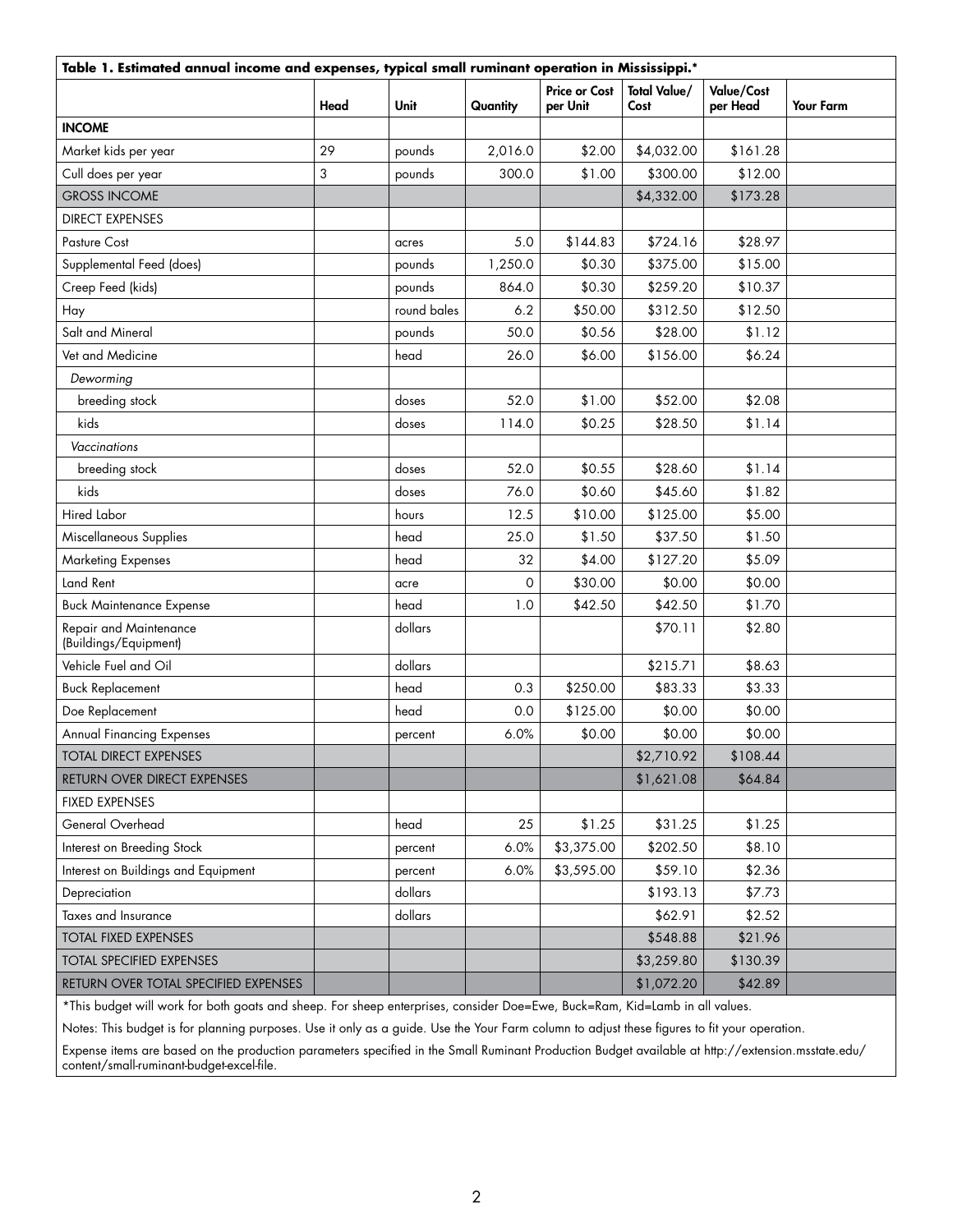| Table 1. Estimated annual income and expenses, typical small ruminant operation in Mississippi.* |      |             |          |                                  |                             |                        |                  |
|--------------------------------------------------------------------------------------------------|------|-------------|----------|----------------------------------|-----------------------------|------------------------|------------------|
|                                                                                                  | Head | <b>Unit</b> | Quantity | <b>Price or Cost</b><br>per Unit | <b>Total Value/</b><br>Cost | Value/Cost<br>per Head | <b>Your Farm</b> |
| <b>INCOME</b>                                                                                    |      |             |          |                                  |                             |                        |                  |
| Market kids per year                                                                             | 29   | pounds      | 2,016.0  | \$2.00                           | \$4,032.00                  | \$161.28               |                  |
| Cull does per year                                                                               | 3    | pounds      | 300.0    | \$1.00                           | \$300.00                    | \$12.00                |                  |
| <b>GROSS INCOME</b>                                                                              |      |             |          |                                  | \$4,332.00                  | \$173.28               |                  |
| <b>DIRECT EXPENSES</b>                                                                           |      |             |          |                                  |                             |                        |                  |
| Pasture Cost                                                                                     |      | acres       | 5.0      | \$144.83                         | \$724.16                    | \$28.97                |                  |
| Supplemental Feed (does)                                                                         |      | pounds      | 1,250.0  | \$0.30                           | \$375.00                    | \$15.00                |                  |
| Creep Feed (kids)                                                                                |      | pounds      | 864.0    | \$0.30                           | \$259.20                    | \$10.37                |                  |
| Hay                                                                                              |      | round bales | 6.2      | \$50.00                          | \$312.50                    | \$12.50                |                  |
| Salt and Mineral                                                                                 |      | pounds      | 50.0     | \$0.56                           | \$28.00                     | \$1.12                 |                  |
| Vet and Medicine                                                                                 |      | head        | 26.0     | \$6.00                           | \$156.00                    | \$6.24                 |                  |
| Deworming                                                                                        |      |             |          |                                  |                             |                        |                  |
| breeding stock                                                                                   |      | doses       | 52.0     | \$1.00                           | \$52.00                     | \$2.08                 |                  |
| kids                                                                                             |      | doses       | 114.0    | \$0.25                           | \$28.50                     | \$1.14                 |                  |
| Vaccinations                                                                                     |      |             |          |                                  |                             |                        |                  |
| breeding stock                                                                                   |      | doses       | 52.0     | \$0.55                           | \$28.60                     | \$1.14                 |                  |
| kids                                                                                             |      | doses       | 76.0     | \$0.60                           | \$45.60                     | \$1.82                 |                  |
| <b>Hired Labor</b>                                                                               |      | hours       | 12.5     | \$10.00                          | \$125.00                    | \$5.00                 |                  |
| Miscellaneous Supplies                                                                           |      | head        | 25.0     | \$1.50                           | \$37.50                     | \$1.50                 |                  |
| <b>Marketing Expenses</b>                                                                        |      | head        | 32       | \$4.00                           | \$127.20                    | \$5.09                 |                  |
| Land Rent                                                                                        |      | acre        | $\circ$  | \$30.00                          | \$0.00                      | \$0.00                 |                  |
| <b>Buck Maintenance Expense</b>                                                                  |      | head        | 1.0      | \$42.50                          | \$42.50                     | \$1.70                 |                  |
| Repair and Maintenance<br>(Buildings/Equipment)                                                  |      | dollars     |          |                                  | \$70.11                     | \$2.80                 |                  |
| Vehicle Fuel and Oil                                                                             |      | dollars     |          |                                  | \$215.71                    | \$8.63                 |                  |
| <b>Buck Replacement</b>                                                                          |      | head        | 0.3      | \$250.00                         | \$83.33                     | \$3.33                 |                  |
| Doe Replacement                                                                                  |      | head        | 0.0      | \$125.00                         | \$0.00                      | \$0.00                 |                  |
| <b>Annual Financing Expenses</b>                                                                 |      | percent     | 6.0%     | \$0.00                           | \$0.00                      | \$0.00                 |                  |
| TOTAL DIRECT EXPENSES                                                                            |      |             |          |                                  | \$2,710.92                  | \$108.44               |                  |
| RETURN OVER DIRECT EXPENSES                                                                      |      |             |          |                                  | \$1,621.08                  | \$64.84                |                  |
| <b>FIXED EXPENSES</b>                                                                            |      |             |          |                                  |                             |                        |                  |
| General Overhead                                                                                 |      | head        | 25       | \$1.25                           | \$31.25                     | \$1.25                 |                  |
| Interest on Breeding Stock                                                                       |      | percent     | 6.0%     | \$3,375.00                       | \$202.50                    | \$8.10                 |                  |
| Interest on Buildings and Equipment                                                              |      | percent     | 6.0%     | \$3,595.00                       | \$59.10                     | \$2.36                 |                  |
| Depreciation                                                                                     |      | dollars     |          |                                  | \$193.13                    | \$7.73                 |                  |
| Taxes and Insurance                                                                              |      | dollars     |          |                                  | \$62.91                     | \$2.52                 |                  |
| <b>TOTAL FIXED EXPENSES</b>                                                                      |      |             |          |                                  | \$548.88                    | \$21.96                |                  |
| <b>TOTAL SPECIFIED EXPENSES</b>                                                                  |      |             |          |                                  | \$3,259.80                  | \$130.39               |                  |
| RETURN OVER TOTAL SPECIFIED EXPENSES                                                             |      |             |          |                                  | \$1,072.20                  | \$42.89                |                  |

\*This budget will work for both goats and sheep. For sheep enterprises, consider Doe=Ewe, Buck=Ram, Kid=Lamb in all values.

Notes: This budget is for planning purposes. Use it only as a guide. Use the Your Farm column to adjust these figures to fit your operation.

Expense items are based on the production parameters specified in the Small Ruminant Production Budget available at http://extension.msstate.edu/ content/small-ruminant-budget-excel-file.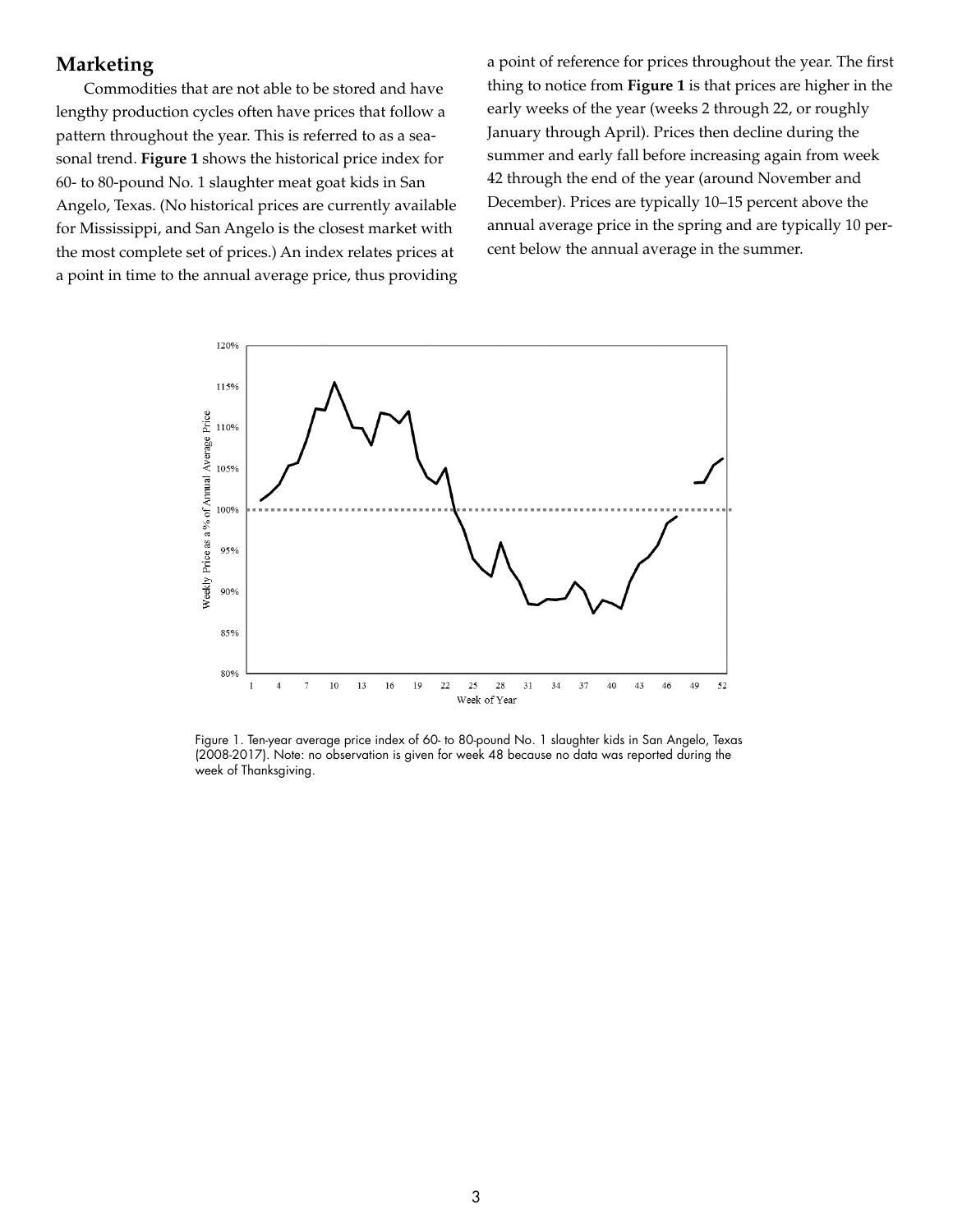#### **Marketing**

Commodities that are not able to be stored and have lengthy production cycles often have prices that follow a pattern throughout the year. This is referred to as a seasonal trend. **Figure 1** shows the historical price index for 60- to 80-pound No. 1 slaughter meat goat kids in San Angelo, Texas. (No historical prices are currently available for Mississippi, and San Angelo is the closest market with the most complete set of prices.) An index relates prices at a point in time to the annual average price, thus providing a point of reference for prices throughout the year. The first thing to notice from **Figure 1** is that prices are higher in the early weeks of the year (weeks 2 through 22, or roughly January through April). Prices then decline during the summer and early fall before increasing again from week 42 through the end of the year (around November and December). Prices are typically 10–15 percent above the annual average price in the spring and are typically 10 percent below the annual average in the summer.



Figure 1. Ten-year average price index of 60- to 80-pound No. 1 slaughter kids in San Angelo, Texas (2008-2017). Note: no observation is given for week 48 because no data was reported during the week of Thanksgiving.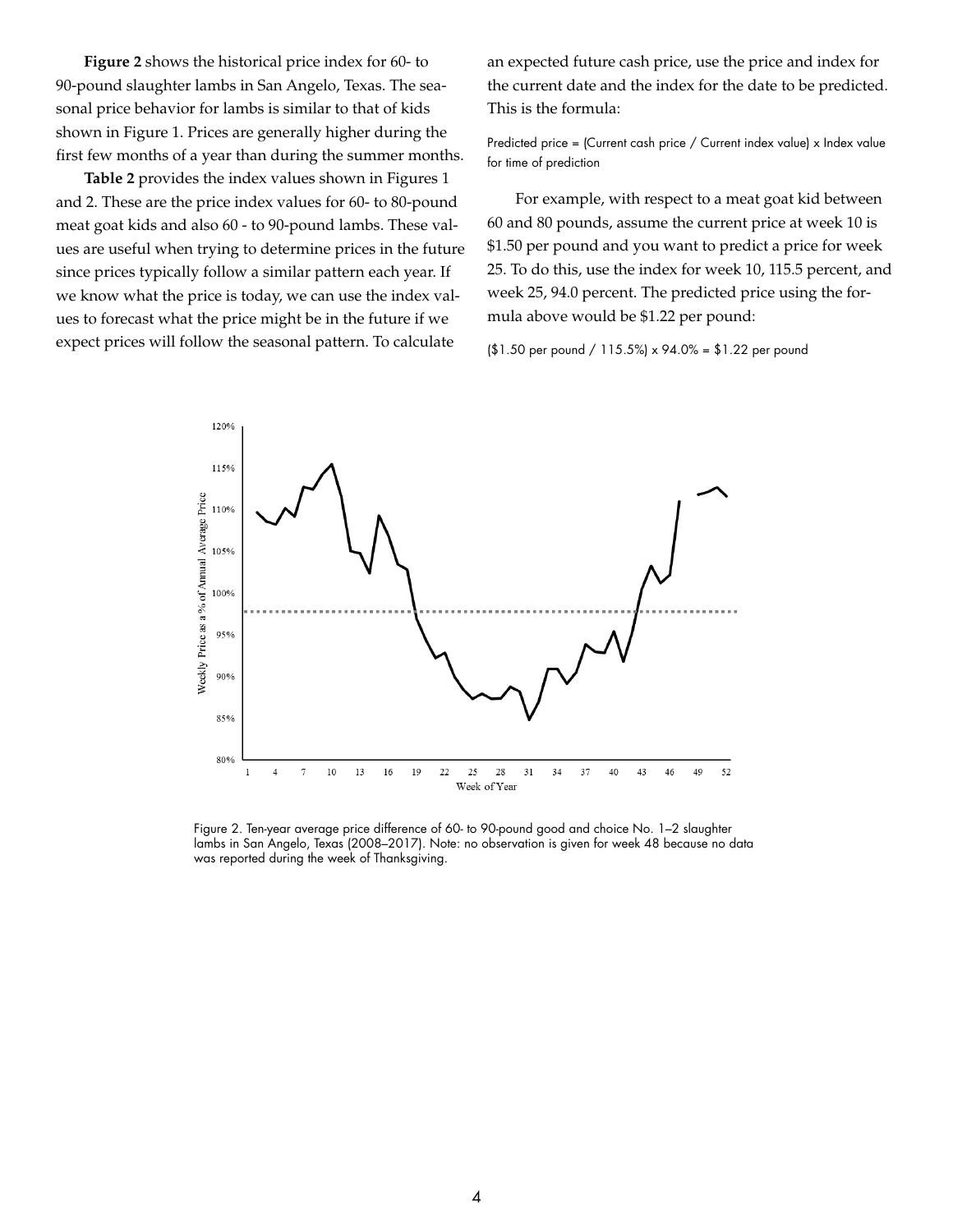**Figure 2** shows the historical price index for 60- to 90-pound slaughter lambs in San Angelo, Texas. The seasonal price behavior for lambs is similar to that of kids shown in Figure 1. Prices are generally higher during the first few months of a year than during the summer months.

**Table 2** provides the index values shown in Figures 1 and 2. These are the price index values for 60- to 80-pound meat goat kids and also 60 - to 90-pound lambs. These values are useful when trying to determine prices in the future since prices typically follow a similar pattern each year. If we know what the price is today, we can use the index values to forecast what the price might be in the future if we expect prices will follow the seasonal pattern. To calculate

an expected future cash price, use the price and index for the current date and the index for the date to be predicted. This is the formula:

Predicted price = (Current cash price / Current index value) x Index value for time of prediction

For example, with respect to a meat goat kid between 60 and 80 pounds, assume the current price at week 10 is \$1.50 per pound and you want to predict a price for week 25. To do this, use the index for week 10, 115.5 percent, and week 25, 94.0 percent. The predicted price using the formula above would be \$1.22 per pound:

(\$1.50 per pound / 115.5%) x 94.0% = \$1.22 per pound



Figure 2. Ten-year average price difference of 60- to 90-pound good and choice No. 1–2 slaughter lambs in San Angelo, Texas (2008–2017). Note: no observation is given for week 48 because no data was reported during the week of Thanksgiving.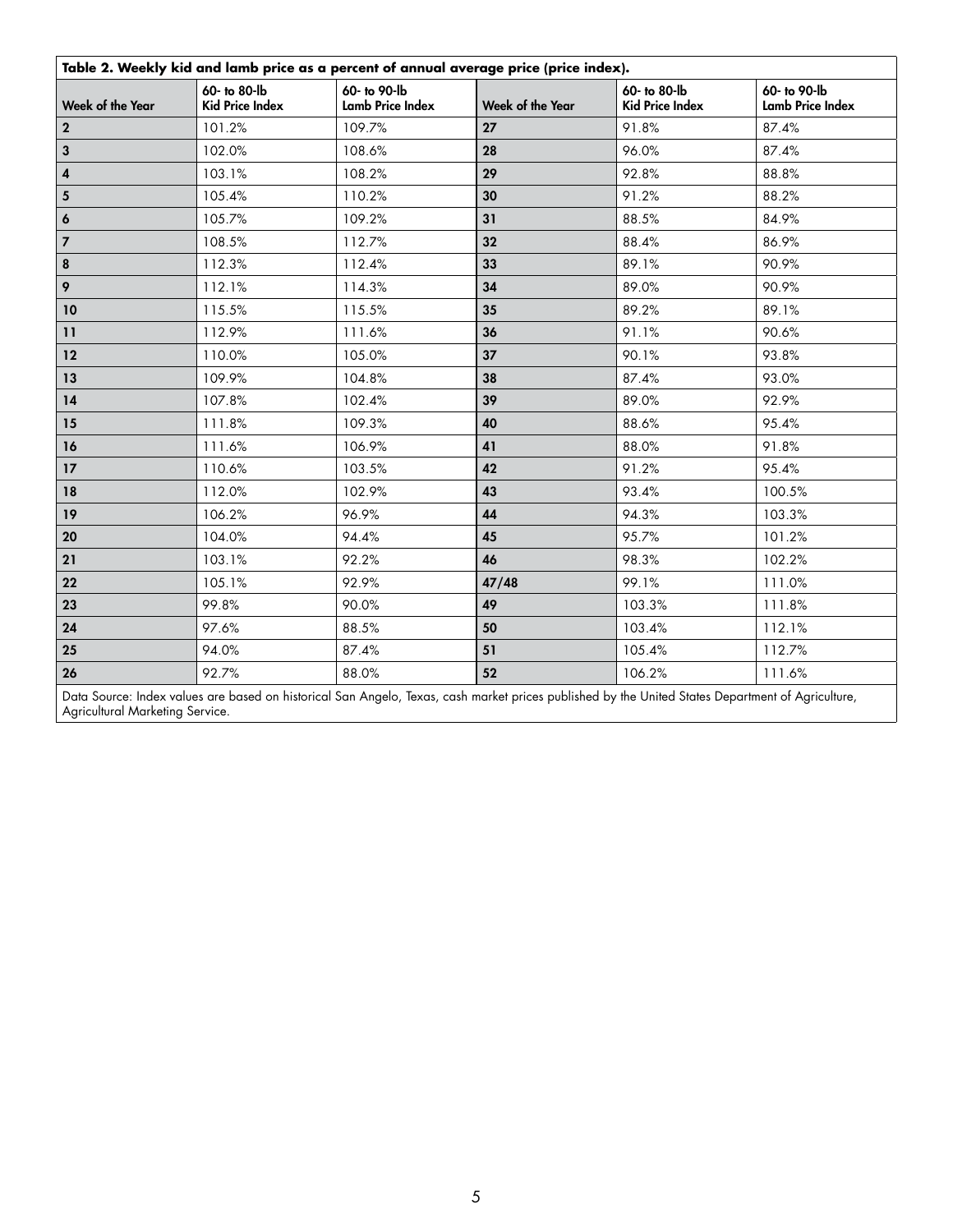| Table 2. Weekly kid and lamb price as a percent of annual average price (price index). |                                        |                                  |                  |                                          |                                         |
|----------------------------------------------------------------------------------------|----------------------------------------|----------------------------------|------------------|------------------------------------------|-----------------------------------------|
| Week of the Year                                                                       | 60- to 80-lb<br><b>Kid Price Index</b> | 60- to 90-lb<br>Lamb Price Index | Week of the Year | 60- to 80-lb<br><b>Kid Price Index</b>   | 60- to 90-lb<br><b>Lamb Price Index</b> |
| $\mathbf{2}$                                                                           | 101.2%                                 | 109.7%                           | 27               | 91.8%                                    | 87.4%                                   |
| $\mathbf 3$                                                                            | 102.0%                                 | 108.6%                           | 28               | 96.0%                                    | 87.4%                                   |
| $\pmb{4}$                                                                              | 103.1%                                 | 108.2%                           | 29               | 92.8%                                    | 88.8%                                   |
| $\overline{\mathbf{5}}$                                                                | 105.4%                                 | 110.2%                           | 30               | 91.2%                                    | 88.2%                                   |
| 6                                                                                      | 105.7%                                 | 109.2%                           | 31               | 88.5%                                    | 84.9%                                   |
| $\overline{\mathbf{z}}$                                                                | 108.5%                                 | 112.7%                           | 32               | 88.4%                                    | 86.9%                                   |
| $\pmb{8}$                                                                              | 112.3%                                 | 112.4%                           | 33               | 89.1%                                    | 90.9%                                   |
| 9                                                                                      | 112.1%                                 | 114.3%                           | 34               | 89.0%                                    | 90.9%                                   |
| 10                                                                                     | 115.5%                                 | 115.5%                           | 35               | 89.2%                                    | 89.1%                                   |
| $\mathbf{11}$                                                                          | 112.9%                                 | 111.6%                           | 36               | 91.1%                                    | 90.6%                                   |
| 12                                                                                     | 110.0%                                 | 105.0%                           | 37               | 90.1%                                    | 93.8%                                   |
| 13                                                                                     | 109.9%                                 | 104.8%                           | 38               | 87.4%                                    | 93.0%                                   |
| 14                                                                                     | 107.8%                                 | 102.4%                           | 39               | 89.0%                                    | 92.9%                                   |
| 15                                                                                     | 111.8%                                 | 109.3%                           | 40               | 88.6%                                    | 95.4%                                   |
| 16                                                                                     | 111.6%                                 | 106.9%                           | 41               | 88.0%                                    | 91.8%                                   |
| 17                                                                                     | 110.6%                                 | 103.5%                           | 42               | 91.2%                                    | 95.4%                                   |
| 18                                                                                     | 112.0%                                 | 102.9%                           | 43               | 93.4%                                    | 100.5%                                  |
| 19                                                                                     | 106.2%                                 | 96.9%                            | 44               | 94.3%                                    | 103.3%                                  |
| 20                                                                                     | 104.0%                                 | 94.4%                            | 45               | 95.7%                                    | 101.2%                                  |
| 21                                                                                     | 103.1%                                 | 92.2%                            | 46               | 98.3%                                    | 102.2%                                  |
| 22                                                                                     | 105.1%                                 | 92.9%                            | 47/48            | 99.1%                                    | 111.0%                                  |
| 23                                                                                     | 99.8%                                  | 90.0%                            | 49               | 103.3%                                   | 111.8%                                  |
| 24                                                                                     | 97.6%                                  | 88.5%                            | 50               | 103.4%                                   | 112.1%                                  |
| 25                                                                                     | 94.0%                                  | 87.4%                            | 51               | 105.4%                                   | 112.7%                                  |
| 26                                                                                     | 92.7%                                  | 88.0%                            | 52               | 106.2%                                   | 111.6%                                  |
| $\sim$ $\sim$ $\sim$                                                                   |                                        |                                  |                  | the contract of the contract of the con- |                                         |

Data Source: Index values are based on historical San Angelo, Texas, cash market prices published by the United States Department of Agriculture, Agricultural Marketing Service.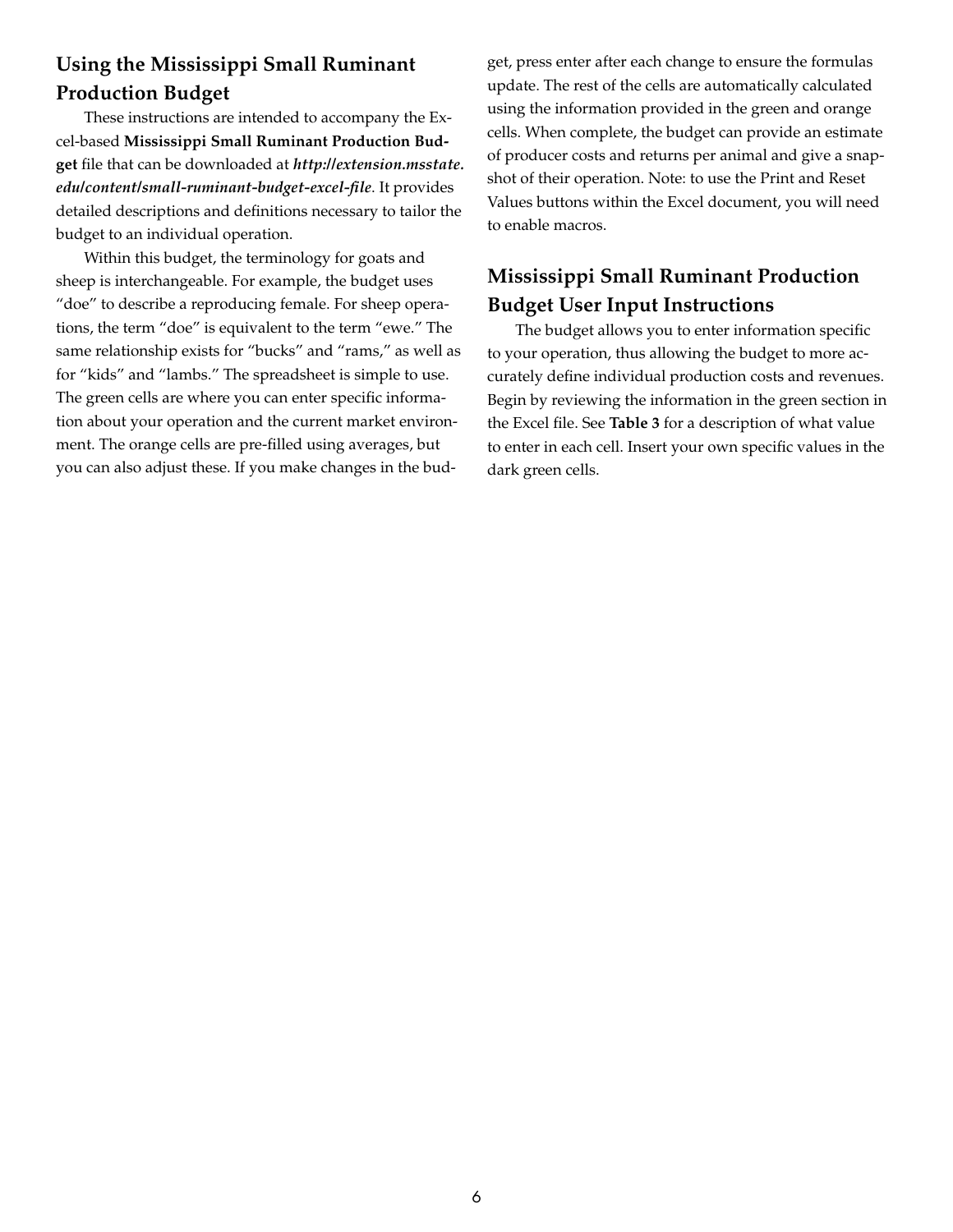## **Using the Mississippi Small Ruminant Production Budget**

These instructions are intended to accompany the Excel-based **Mississippi Small Ruminant Production Budget** file that can be downloaded at *http://extension.msstate. edu/content/small-ruminant-budget-excel-file*. It provides detailed descriptions and definitions necessary to tailor the budget to an individual operation.

Within this budget, the terminology for goats and sheep is interchangeable. For example, the budget uses "doe" to describe a reproducing female. For sheep operations, the term "doe" is equivalent to the term "ewe." The same relationship exists for "bucks" and "rams," as well as for "kids" and "lambs." The spreadsheet is simple to use. The green cells are where you can enter specific information about your operation and the current market environment. The orange cells are pre-filled using averages, but you can also adjust these. If you make changes in the budget, press enter after each change to ensure the formulas update. The rest of the cells are automatically calculated using the information provided in the green and orange cells. When complete, the budget can provide an estimate of producer costs and returns per animal and give a snapshot of their operation. Note: to use the Print and Reset Values buttons within the Excel document, you will need to enable macros.

## **Mississippi Small Ruminant Production Budget User Input Instructions**

The budget allows you to enter information specific to your operation, thus allowing the budget to more accurately define individual production costs and revenues. Begin by reviewing the information in the green section in the Excel file. See **Table 3** for a description of what value to enter in each cell. Insert your own specific values in the dark green cells.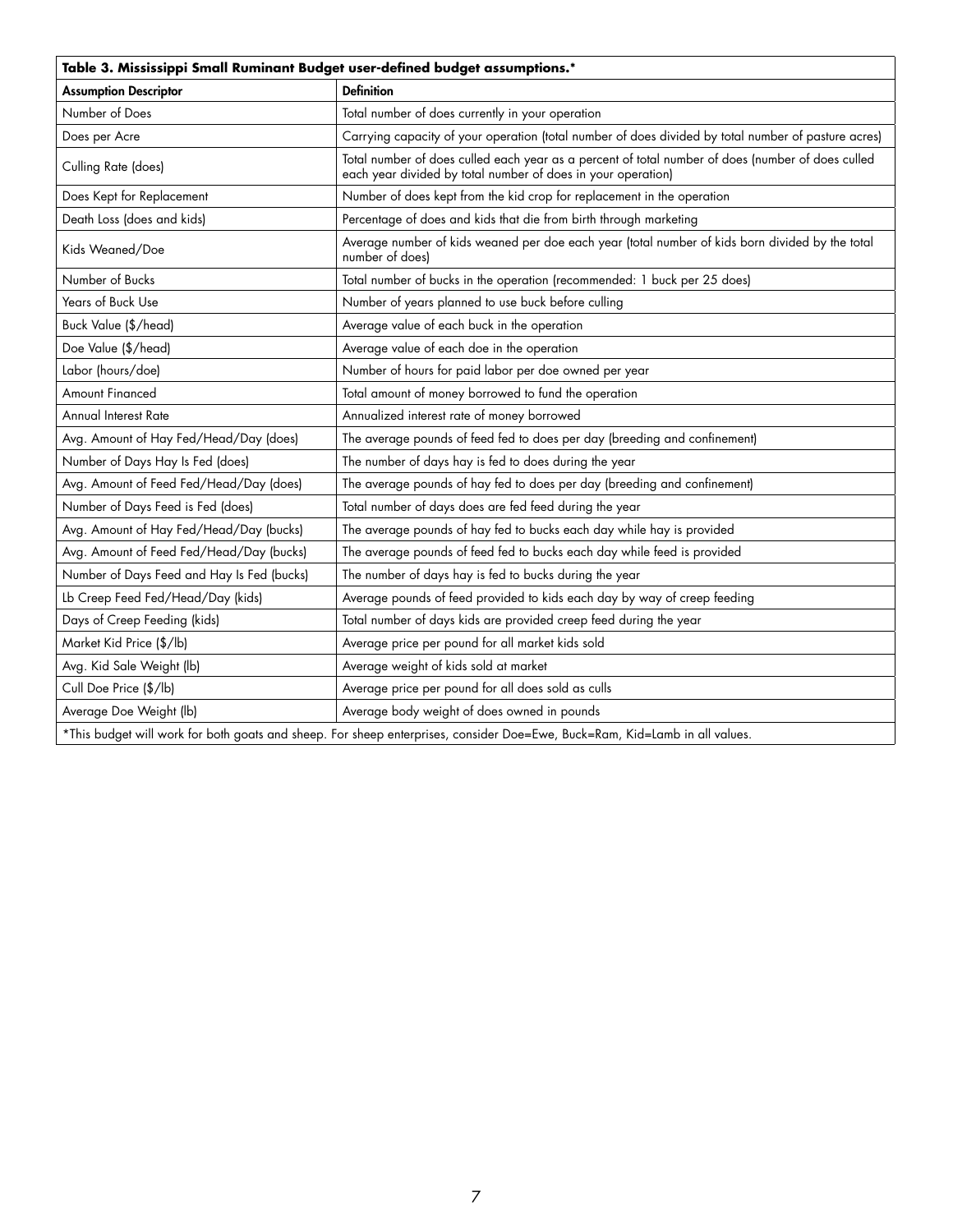| Table 3. Mississippi Small Ruminant Budget user-defined budget assumptions.*                                                |                                                                                                                                                                   |  |
|-----------------------------------------------------------------------------------------------------------------------------|-------------------------------------------------------------------------------------------------------------------------------------------------------------------|--|
| <b>Assumption Descriptor</b>                                                                                                | <b>Definition</b>                                                                                                                                                 |  |
| Number of Does                                                                                                              | Total number of does currently in your operation                                                                                                                  |  |
| Does per Acre                                                                                                               | Carrying capacity of your operation (total number of does divided by total number of pasture acres)                                                               |  |
| Culling Rate (does)                                                                                                         | Total number of does culled each year as a percent of total number of does (number of does culled<br>each year divided by total number of does in your operation) |  |
| Does Kept for Replacement                                                                                                   | Number of does kept from the kid crop for replacement in the operation                                                                                            |  |
| Death Loss (does and kids)                                                                                                  | Percentage of does and kids that die from birth through marketing                                                                                                 |  |
| Kids Weaned/Doe                                                                                                             | Average number of kids weaned per doe each year (total number of kids born divided by the total<br>number of does)                                                |  |
| Number of Bucks                                                                                                             | Total number of bucks in the operation (recommended: 1 buck per 25 does)                                                                                          |  |
| Years of Buck Use                                                                                                           | Number of years planned to use buck before culling                                                                                                                |  |
| Buck Value (\$/head)                                                                                                        | Average value of each buck in the operation                                                                                                                       |  |
| Doe Value (\$/head)                                                                                                         | Average value of each doe in the operation                                                                                                                        |  |
| Labor (hours/doe)                                                                                                           | Number of hours for paid labor per doe owned per year                                                                                                             |  |
| <b>Amount Financed</b>                                                                                                      | Total amount of money borrowed to fund the operation                                                                                                              |  |
| Annual Interest Rate                                                                                                        | Annualized interest rate of money borrowed                                                                                                                        |  |
| Avg. Amount of Hay Fed/Head/Day (does)                                                                                      | The average pounds of feed fed to does per day (breeding and confinement)                                                                                         |  |
| Number of Days Hay Is Fed (does)                                                                                            | The number of days hay is fed to does during the year                                                                                                             |  |
| Avg. Amount of Feed Fed/Head/Day (does)                                                                                     | The average pounds of hay fed to does per day (breeding and confinement)                                                                                          |  |
| Number of Days Feed is Fed (does)                                                                                           | Total number of days does are fed feed during the year                                                                                                            |  |
| Avg. Amount of Hay Fed/Head/Day (bucks)                                                                                     | The average pounds of hay fed to bucks each day while hay is provided                                                                                             |  |
| Avg. Amount of Feed Fed/Head/Day (bucks)                                                                                    | The average pounds of feed fed to bucks each day while feed is provided                                                                                           |  |
| Number of Days Feed and Hay Is Fed (bucks)                                                                                  | The number of days hay is fed to bucks during the year                                                                                                            |  |
| Lb Creep Feed Fed/Head/Day (kids)                                                                                           | Average pounds of feed provided to kids each day by way of creep feeding                                                                                          |  |
| Days of Creep Feeding (kids)                                                                                                | Total number of days kids are provided creep feed during the year                                                                                                 |  |
| Market Kid Price (\$/lb)                                                                                                    | Average price per pound for all market kids sold                                                                                                                  |  |
| Avg. Kid Sale Weight (lb)                                                                                                   | Average weight of kids sold at market                                                                                                                             |  |
| Cull Doe Price (\$/lb)                                                                                                      | Average price per pound for all does sold as culls                                                                                                                |  |
| Average Doe Weight (lb)                                                                                                     | Average body weight of does owned in pounds                                                                                                                       |  |
| *This budget will work for both goats and sheep. For sheep enterprises, consider Doe=Ewe, Buck=Ram, Kid=Lamb in all values. |                                                                                                                                                                   |  |